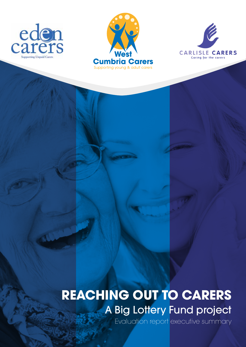





# **REACHING OUT TO CARERS A Big Lottery Fund project**

Evaluation report executive summary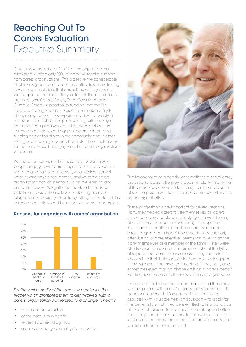# Reaching Out To Carers Evaluation Executive Summary

Carers make up just over 1 in 10 of the population, but relatively few (often only 10% of them) will receive support from carers' organisations. This is despite the considerable challenges (poor health outcomes, difficulties in continuing to work, social isolation) that carers face as they provide vital support to the people they look after. Three Cumbrian organisations (Carlisle Carers, Eden Carers and West Cumbria Carers), supported by funding from the Big Lottery, came together in a project to trial new methods of engaging carers. They experimented with a variety of methods – a telephone helpline, working with employers, recruiting champions who could tell people about the carers' organisations and signpost carers to them, and running dedicated clinics in the community and in other settings such as surgeries and hospitals. These techniques aimed to increase the engagement of carers' organisations with carers.

We made an assessment of these trials, exploring why people engaged with carers' organisations, what worked well in engaging potential carers, what worked less well, what lessons have been learned and what the carers' organisations can do next to build on the learning and on the successes. We gathered the data for this report by talking to carers themselves, conducting nearly 50 telephone interviews, by site visits, by talking to the staff of the carers' organisations and by interviewing carers champions.

### Reasons for engaging with carers' organisation



#### *For the vast majority of the carers we spoke to, the trigger which prompted them to get involved with a carers' organisation was related to a change in health:*

- of the person cared for
- of the carer's own health
- related to a new diagnosis
- around discharge planning from hospital.



The involvement of a health (or sometimes a social care) professional could also play a decisive role. With over half of the carers we spoke to identifying that the intervention of such a person was key in their seeking support from a carers' organisation.

These professionals are important for several reasons. Firstly, they helped carers to see themselves as 'carers' (as opposed to people who simply 'got on with' looking after a family member or loved one). Perhaps most importantly, a health or social care professional had a role in 'giving permission' to a carer to seek support, often being a more effective 'permission giver' than the carer themselves or a member of the family. They were also frequently a source of information about the type of support that carers could access. They also often followed up their initial advice to a carer to seek support – asking them at subsequent meetings if they had, and sometimes even making phone calls on a carer's behalf to introduce the carer to the relevant carers' organisation.

Once the introduction had been made, and the carers were engaged with carers' organisations, considerable benefits could result. Carers report that they were provided with valuable help and support – to apply for the benefits to which they were entitled, to find out about other useful services, to access emotional support often from people in similar situations to themselves, and even just having the reassurance that the carers' organisation would be there if they needed it.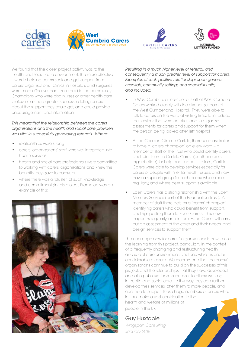







We found that the closer project activity was to the health and social care environment, the more effective it was in helping carers seek and get support from carers' organisations. Clinics in hospitals and surgeries were more effective than those held in the community. Champions who were also nurses or other health care professionals had greater success in telling carers about the support they could get, and could provide encouragement and information.

*This meant that the relationship between the carers' organisations and the health and social care providers was vital in successfully generating referrals. Where:*

- relationships were strong
- carers' organisations' staff were well integrated into health services,
- health and social care professionals were committed to working with carers' organisations and knew the benefits they gave to carers, or
- where there was a 'cluster' of such knowledge and commitment (in this project, Brampton was an example of this)



*Resulting in a much higher level of referral, and consequently a much greater level of support for carers. Examples of such positive relationships span general hospitals, community settings and specialist units, and included:*

- In West Cumbria, a member of staff of West Cumbria Carers worked closely with the discharge team at the West Cumberland Hospital. They were able to talk to carers on the ward at visiting time, to introduce the services that were on offer, and to organise assessments for carers and support for them when the person being looked after left hospital
- At the Carleton Clinic in Carlisle, there is an aspiration to have a 'carers champion' on every ward – a member of staff of the Trust who could identify carers, and refer them to Carlisle Carers (or other carers' organisation) for help and support. In turn, Carlisle Carers were able to develop services especially for carers of people with mental health issues, and now have a support group for such carers which meets regularly, and where peer support is available
- Eden Carers has a strong relationship with the Eden Memory Services (part of the Foundation Trust). A member of staff there acts as a 'carers' champion', identifying carers who could benefit from support, and signposting them to Eden Carers. This now happens regularly, and in turn, Eden Carers will carry out an assessment of the carer and their needs, and design services to support them

The challenge now for carers' organisations is how to use the learning from this project, particularly in the context of a frequently changing and restructuring health and social care environment, and one which is under considerable pressure. We recommend that the carers' organisations continue to build on the successes of this project, and the relationships that they have developed, and also publicise these successes to others working in health and social care. In this way they can further develop their services, offer them to more people, and continue to support those huge numbers of carers who, in turn, make a vast contribution to the health and welfare of millions of

people in the UK.

Guy Huxtable

*Wingspan Consulting January 2018*